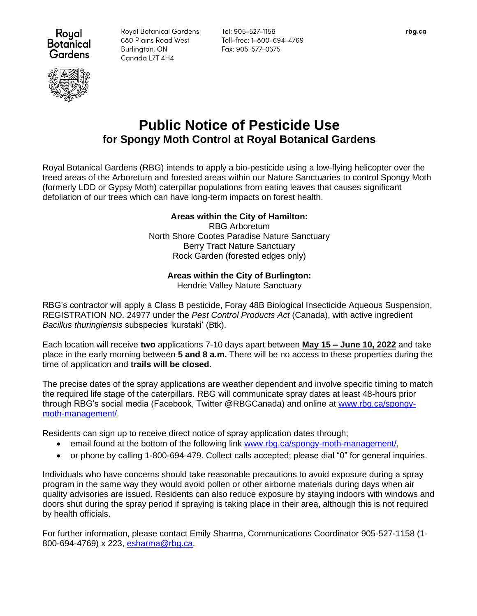

**Royal Botanical Gardens** 680 Plains Road West Burlington, ON Canada L7T 4H4

Tel: 905-527-1158 Toll-free: 1-800-694-4769 Fax: 905-577-0375

# **Public Notice of Pesticide Use for Spongy Moth Control at Royal Botanical Gardens**

Royal Botanical Gardens (RBG) intends to apply a bio-pesticide using a low-flying helicopter over the treed areas of the Arboretum and forested areas within our Nature Sanctuaries to control Spongy Moth (formerly LDD or Gypsy Moth) caterpillar populations from eating leaves that causes significant defoliation of our trees which can have long-term impacts on forest health.

# **Areas within the City of Hamilton:**

RBG Arboretum North Shore Cootes Paradise Nature Sanctuary Berry Tract Nature Sanctuary Rock Garden (forested edges only)

# **Areas within the City of Burlington:**

Hendrie Valley Nature Sanctuary

RBG's contractor will apply a Class B pesticide, Foray 48B Biological Insecticide Aqueous Suspension, REGISTRATION NO. 24977 under the *Pest Control Products Act* (Canada), with active ingredient *Bacillus thuringiensis* subspecies 'kurstaki' (Btk).

Each location will receive **two** applications 7-10 days apart between **May 15 – June 10, 2022** and take place in the early morning between **5 and 8 a.m.** There will be no access to these properties during the time of application and **trails will be closed**.

The precise dates of the spray applications are weather dependent and involve specific timing to match the required life stage of the caterpillars. RBG will communicate spray dates at least 48-hours prior through RBG's social media (Facebook, Twitter @RBGCanada) and online at [www.rbg.ca/spongy](http://www.rbg.ca/spongy-moth-management/)[moth-management/.](http://www.rbg.ca/spongy-moth-management/)

Residents can sign up to receive direct notice of spray application dates through;

- email found at the bottom of the following link [www.rbg.ca/spongy-moth-management/,](http://www.rbg.ca/spongy-moth-management/)
- or phone by calling 1-800-694-479. Collect calls accepted; please dial "0" for general inquiries.

Individuals who have concerns should take reasonable precautions to avoid exposure during a spray program in the same way they would avoid pollen or other airborne materials during days when air quality advisories are issued. Residents can also reduce exposure by staying indoors with windows and doors shut during the spray period if spraying is taking place in their area, although this is not required by health officials.

For further information, please contact Emily Sharma, Communications Coordinator 905-527-1158 (1 800-694-4769) x 223, [esharma@rbg.ca.](mailto:esharma@rbg.ca)